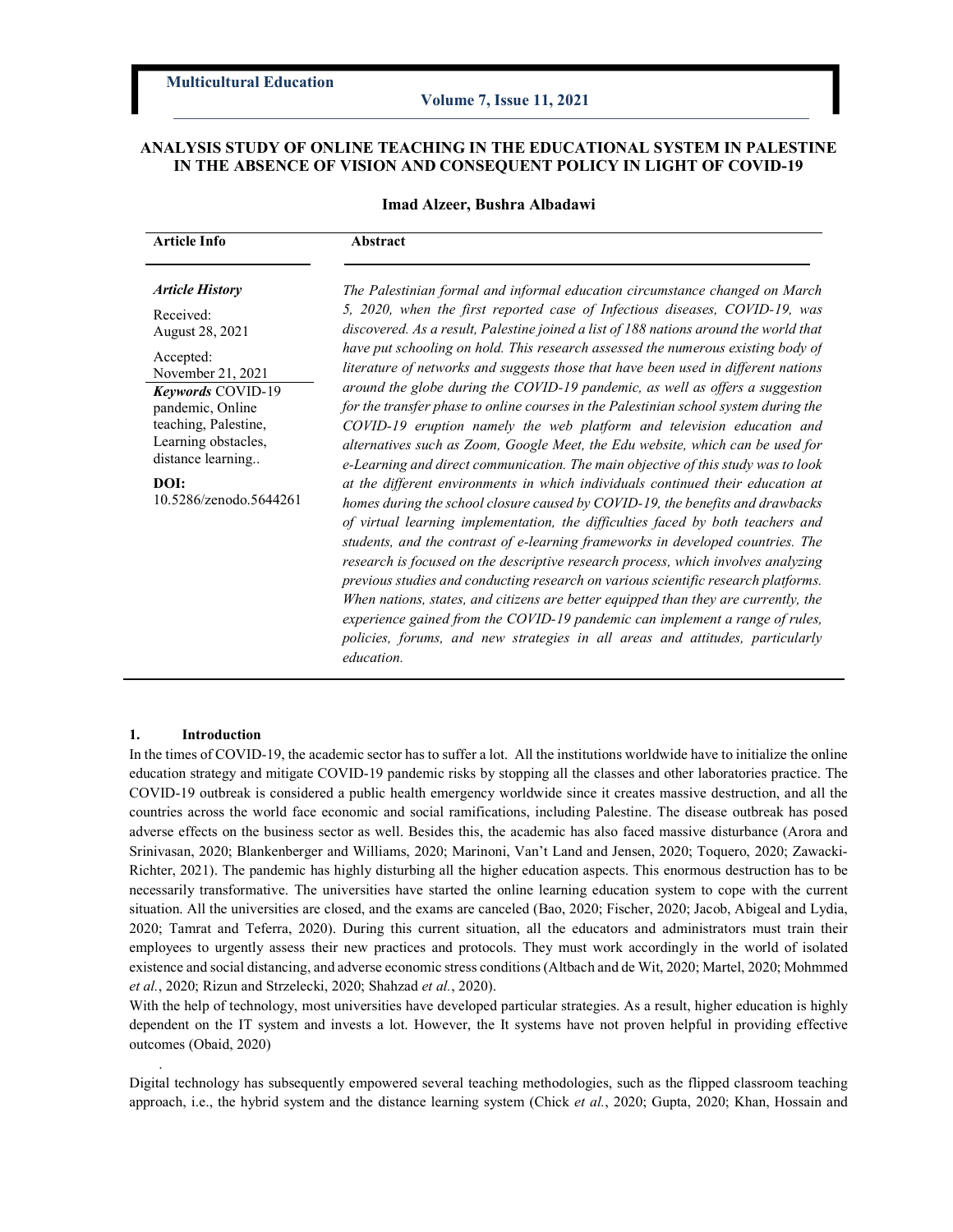# ANALYSIS STUDY OF ONLINE TEACHING IN THE EDUCATIONAL SYSTEM IN PALESTINE IN THE ABSENCE OF VISION AND CONSEQUENT POLICY IN LIGHT OF COVID-19

### Imad Alzeer, Bushra Albadawi

| <b>Article Info</b>                                                                                                                                                                                                                     | Abstract                                                                                                                                                                                                                                                                                                                                                                                                                                                                                                                                                                                                                                                                                                                                                                                                                                                                                                                                                                                                                                                                                                                                                                                                                                                                                                                                                                                                                                                                                                                                                                                                                                            |
|-----------------------------------------------------------------------------------------------------------------------------------------------------------------------------------------------------------------------------------------|-----------------------------------------------------------------------------------------------------------------------------------------------------------------------------------------------------------------------------------------------------------------------------------------------------------------------------------------------------------------------------------------------------------------------------------------------------------------------------------------------------------------------------------------------------------------------------------------------------------------------------------------------------------------------------------------------------------------------------------------------------------------------------------------------------------------------------------------------------------------------------------------------------------------------------------------------------------------------------------------------------------------------------------------------------------------------------------------------------------------------------------------------------------------------------------------------------------------------------------------------------------------------------------------------------------------------------------------------------------------------------------------------------------------------------------------------------------------------------------------------------------------------------------------------------------------------------------------------------------------------------------------------------|
| <b>Article History</b><br>Received:<br>August 28, 2021<br>Accepted:<br>November 21, 2021<br>Keywords COVID-19<br>pandemic, Online<br>teaching, Palestine,<br>Learning obstacles,<br>distance learning<br>DOI:<br>10.5286/zenodo.5644261 | The Palestinian formal and informal education circumstance changed on March<br>5, 2020, when the first reported case of Infectious diseases, COVID-19, was<br>discovered. As a result, Palestine joined a list of 188 nations around the world that<br>have put schooling on hold. This research assessed the numerous existing body of<br>literature of networks and suggests those that have been used in different nations<br>around the globe during the COVID-19 pandemic, as well as offers a suggestion<br>for the transfer phase to online courses in the Palestinian school system during the<br>COVID-19 eruption namely the web platform and television education and<br>alternatives such as Zoom, Google Meet, the Edu website, which can be used for<br>e-Learning and direct communication. The main objective of this study was to look<br>at the different environments in which individuals continued their education at<br>homes during the school closure caused by COVID-19, the benefits and drawbacks<br>of virtual learning implementation, the difficulties faced by both teachers and<br>students, and the contrast of e-learning frameworks in developed countries. The<br>research is focused on the descriptive research process, which involves analyzing<br>previous studies and conducting research on various scientific research platforms.<br>When nations, states, and citizens are better equipped than they are currently, the<br>experience gained from the COVID-19 pandemic can implement a range of rules,<br>policies, forums, and new strategies in all areas and attitudes, particularly<br>education. |

#### 1. Introduction

.

In the times of COVID-19, the academic sector has to suffer a lot. All the institutions worldwide have to initialize the online education strategy and mitigate COVID-19 pandemic risks by stopping all the classes and other laboratories practice. The COVID-19 outbreak is considered a public health emergency worldwide since it creates massive destruction, and all the countries across the world face economic and social ramifications, including Palestine. The disease outbreak has posed adverse effects on the business sector as well. Besides this, the academic has also faced massive disturbance (Arora and Srinivasan, 2020; Blankenberger and Williams, 2020; Marinoni, Van't Land and Jensen, 2020; Toquero, 2020; Zawacki-Richter, 2021). The pandemic has highly disturbing all the higher education aspects. This enormous destruction has to be necessarily transformative. The universities have started the online learning education system to cope with the current situation. All the universities are closed, and the exams are canceled (Bao, 2020; Fischer, 2020; Jacob, Abigeal and Lydia, 2020; Tamrat and Teferra, 2020). During this current situation, all the educators and administrators must train their employees to urgently assess their new practices and protocols. They must work accordingly in the world of isolated existence and social distancing, and adverse economic stress conditions (Altbach and de Wit, 2020; Martel, 2020; Mohmmed et al., 2020; Rizun and Strzelecki, 2020; Shahzad et al., 2020).

With the help of technology, most universities have developed particular strategies. As a result, higher education is highly dependent on the IT system and invests a lot. However, the It systems have not proven helpful in providing effective outcomes (Obaid, 2020)

Digital technology has subsequently empowered several teaching methodologies, such as the flipped classroom teaching approach, i.e., the hybrid system and the distance learning system (Chick et al., 2020; Gupta, 2020; Khan, Hossain and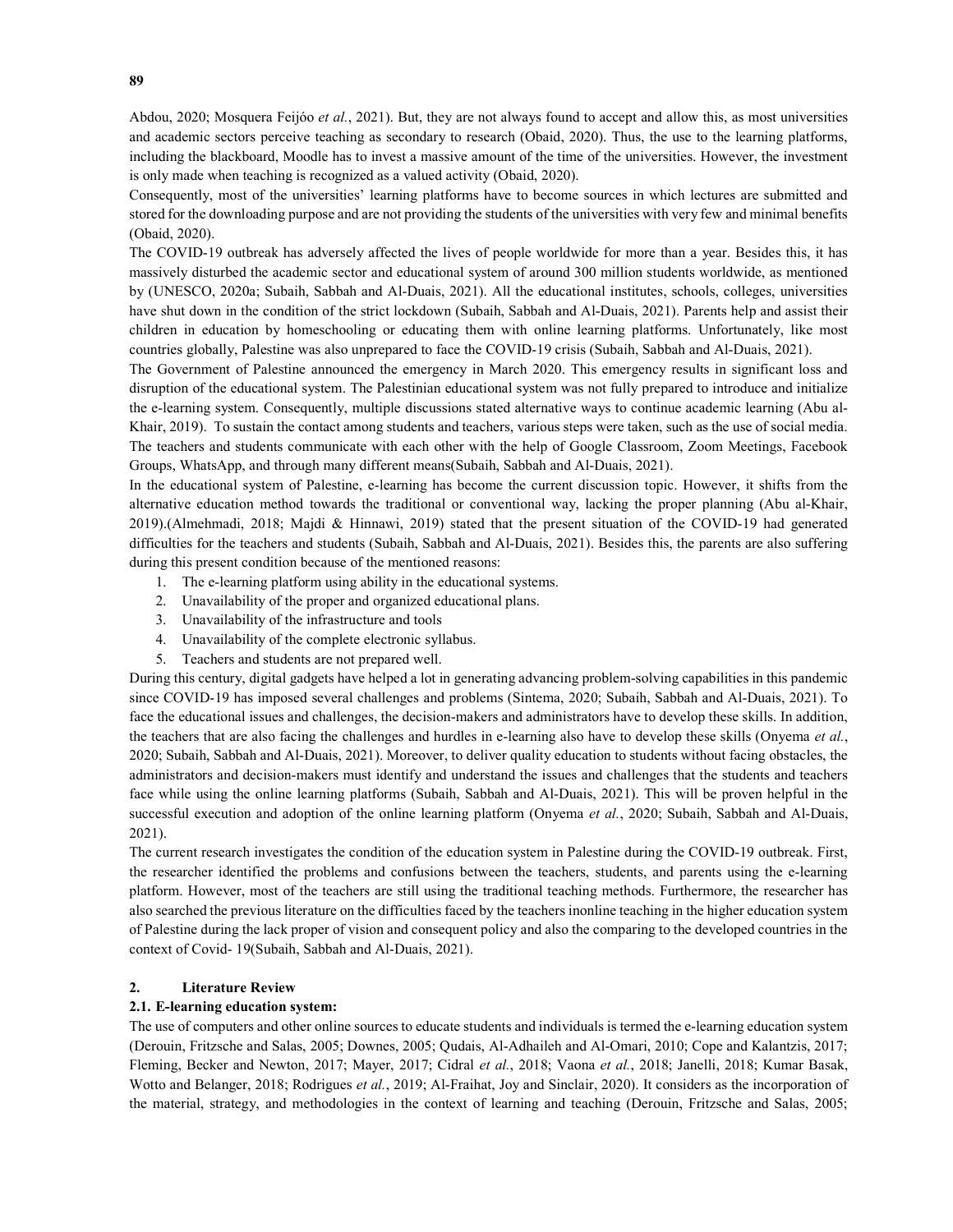Abdou, 2020; Mosquera Feijóo et al., 2021). But, they are not always found to accept and allow this, as most universities and academic sectors perceive teaching as secondary to research (Obaid, 2020). Thus, the use to the learning platforms, including the blackboard, Moodle has to invest a massive amount of the time of the universities. However, the investment is only made when teaching is recognized as a valued activity (Obaid, 2020).

Consequently, most of the universities' learning platforms have to become sources in which lectures are submitted and stored for the downloading purpose and are not providing the students of the universities with very few and minimal benefits (Obaid, 2020).

The COVID-19 outbreak has adversely affected the lives of people worldwide for more than a year. Besides this, it has massively disturbed the academic sector and educational system of around 300 million students worldwide, as mentioned by (UNESCO, 2020a; Subaih, Sabbah and Al-Duais, 2021). All the educational institutes, schools, colleges, universities have shut down in the condition of the strict lockdown (Subaih, Sabbah and Al-Duais, 2021). Parents help and assist their children in education by homeschooling or educating them with online learning platforms. Unfortunately, like most countries globally, Palestine was also unprepared to face the COVID-19 crisis (Subaih, Sabbah and Al-Duais, 2021).

The Government of Palestine announced the emergency in March 2020. This emergency results in significant loss and disruption of the educational system. The Palestinian educational system was not fully prepared to introduce and initialize the e-learning system. Consequently, multiple discussions stated alternative ways to continue academic learning (Abu al-Khair, 2019). To sustain the contact among students and teachers, various steps were taken, such as the use of social media. The teachers and students communicate with each other with the help of Google Classroom, Zoom Meetings, Facebook Groups, WhatsApp, and through many different means(Subaih, Sabbah and Al-Duais, 2021).

In the educational system of Palestine, e-learning has become the current discussion topic. However, it shifts from the alternative education method towards the traditional or conventional way, lacking the proper planning (Abu al-Khair, 2019).(Almehmadi, 2018; Majdi & Hinnawi, 2019) stated that the present situation of the COVID-19 had generated difficulties for the teachers and students (Subaih, Sabbah and Al-Duais, 2021). Besides this, the parents are also suffering during this present condition because of the mentioned reasons:

- 1. The e-learning platform using ability in the educational systems.
- 2. Unavailability of the proper and organized educational plans.
- 3. Unavailability of the infrastructure and tools
- 4. Unavailability of the complete electronic syllabus.
- 5. Teachers and students are not prepared well.

During this century, digital gadgets have helped a lot in generating advancing problem-solving capabilities in this pandemic since COVID-19 has imposed several challenges and problems (Sintema, 2020; Subaih, Sabbah and Al-Duais, 2021). To face the educational issues and challenges, the decision-makers and administrators have to develop these skills. In addition, the teachers that are also facing the challenges and hurdles in e-learning also have to develop these skills (Onyema et al., 2020; Subaih, Sabbah and Al-Duais, 2021). Moreover, to deliver quality education to students without facing obstacles, the administrators and decision-makers must identify and understand the issues and challenges that the students and teachers face while using the online learning platforms (Subaih, Sabbah and Al-Duais, 2021). This will be proven helpful in the successful execution and adoption of the online learning platform (Onyema et al., 2020; Subaih, Sabbah and Al-Duais, 2021).

The current research investigates the condition of the education system in Palestine during the COVID-19 outbreak. First, the researcher identified the problems and confusions between the teachers, students, and parents using the e-learning platform. However, most of the teachers are still using the traditional teaching methods. Furthermore, the researcher has also searched the previous literature on the difficulties faced by the teachers inonline teaching in the higher education system of Palestine during the lack proper of vision and consequent policy and also the comparing to the developed countries in the context of Covid- 19(Subaih, Sabbah and Al-Duais, 2021).

# 2. Literature Review

# 2.1. E-learning education system:

The use of computers and other online sources to educate students and individuals is termed the e-learning education system (Derouin, Fritzsche and Salas, 2005; Downes, 2005; Qudais, Al-Adhaileh and Al-Omari, 2010; Cope and Kalantzis, 2017; Fleming, Becker and Newton, 2017; Mayer, 2017; Cidral et al., 2018; Vaona et al., 2018; Janelli, 2018; Kumar Basak, Wotto and Belanger, 2018; Rodrigues et al., 2019; Al-Fraihat, Joy and Sinclair, 2020). It considers as the incorporation of the material, strategy, and methodologies in the context of learning and teaching (Derouin, Fritzsche and Salas, 2005;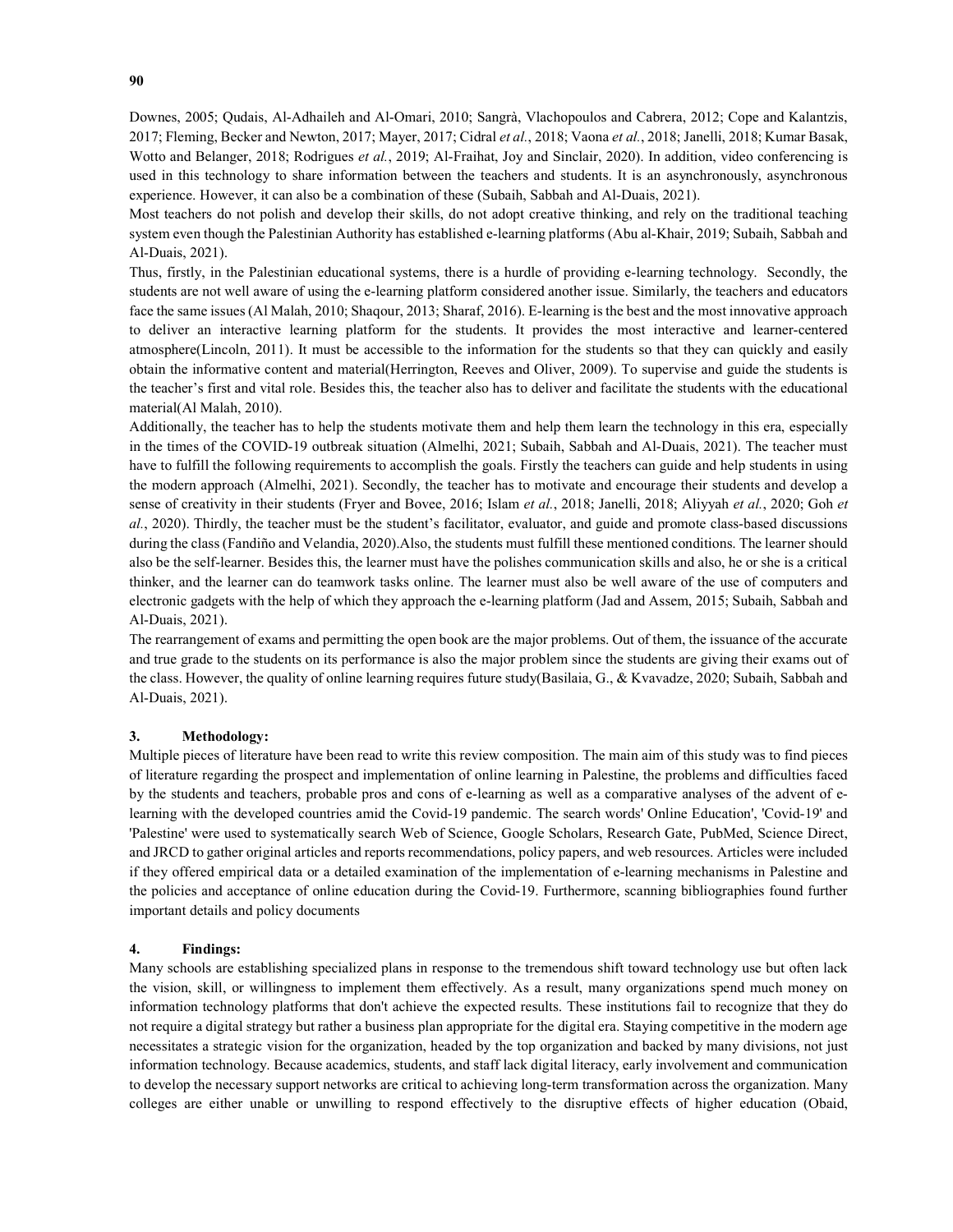Downes, 2005; Qudais, Al-Adhaileh and Al-Omari, 2010; Sangrà, Vlachopoulos and Cabrera, 2012; Cope and Kalantzis, 2017; Fleming, Becker and Newton, 2017; Mayer, 2017; Cidral et al., 2018; Vaona et al., 2018; Janelli, 2018; Kumar Basak, Wotto and Belanger, 2018; Rodrigues et al., 2019; Al-Fraihat, Joy and Sinclair, 2020). In addition, video conferencing is used in this technology to share information between the teachers and students. It is an asynchronously, asynchronous experience. However, it can also be a combination of these (Subaih, Sabbah and Al-Duais, 2021).

Most teachers do not polish and develop their skills, do not adopt creative thinking, and rely on the traditional teaching system even though the Palestinian Authority has established e-learning platforms (Abu al-Khair, 2019; Subaih, Sabbah and Al-Duais, 2021).

Thus, firstly, in the Palestinian educational systems, there is a hurdle of providing e-learning technology. Secondly, the students are not well aware of using the e-learning platform considered another issue. Similarly, the teachers and educators face the same issues (Al Malah, 2010; Shaqour, 2013; Sharaf, 2016). E-learning is the best and the most innovative approach to deliver an interactive learning platform for the students. It provides the most interactive and learner-centered atmosphere(Lincoln, 2011). It must be accessible to the information for the students so that they can quickly and easily obtain the informative content and material(Herrington, Reeves and Oliver, 2009). To supervise and guide the students is the teacher's first and vital role. Besides this, the teacher also has to deliver and facilitate the students with the educational material(Al Malah, 2010).

Additionally, the teacher has to help the students motivate them and help them learn the technology in this era, especially in the times of the COVID-19 outbreak situation (Almelhi, 2021; Subaih, Sabbah and Al-Duais, 2021). The teacher must have to fulfill the following requirements to accomplish the goals. Firstly the teachers can guide and help students in using the modern approach (Almelhi, 2021). Secondly, the teacher has to motivate and encourage their students and develop a sense of creativity in their students (Fryer and Bovee, 2016; Islam et al., 2018; Janelli, 2018; Aliyyah et al., 2020; Goh et al., 2020). Thirdly, the teacher must be the student's facilitator, evaluator, and guide and promote class-based discussions during the class (Fandiño and Velandia, 2020).Also, the students must fulfill these mentioned conditions. The learner should also be the self-learner. Besides this, the learner must have the polishes communication skills and also, he or she is a critical thinker, and the learner can do teamwork tasks online. The learner must also be well aware of the use of computers and electronic gadgets with the help of which they approach the e-learning platform (Jad and Assem, 2015; Subaih, Sabbah and Al-Duais, 2021).

The rearrangement of exams and permitting the open book are the major problems. Out of them, the issuance of the accurate and true grade to the students on its performance is also the major problem since the students are giving their exams out of the class. However, the quality of online learning requires future study(Basilaia, G., & Kvavadze, 2020; Subaih, Sabbah and Al-Duais, 2021).

### 3. Methodology:

Multiple pieces of literature have been read to write this review composition. The main aim of this study was to find pieces of literature regarding the prospect and implementation of online learning in Palestine, the problems and difficulties faced by the students and teachers, probable pros and cons of e-learning as well as a comparative analyses of the advent of elearning with the developed countries amid the Covid-19 pandemic. The search words' Online Education', 'Covid-19' and 'Palestine' were used to systematically search Web of Science, Google Scholars, Research Gate, PubMed, Science Direct, and JRCD to gather original articles and reports recommendations, policy papers, and web resources. Articles were included if they offered empirical data or a detailed examination of the implementation of e-learning mechanisms in Palestine and the policies and acceptance of online education during the Covid-19. Furthermore, scanning bibliographies found further important details and policy documents

#### 4. Findings:

Many schools are establishing specialized plans in response to the tremendous shift toward technology use but often lack the vision, skill, or willingness to implement them effectively. As a result, many organizations spend much money on information technology platforms that don't achieve the expected results. These institutions fail to recognize that they do not require a digital strategy but rather a business plan appropriate for the digital era. Staying competitive in the modern age necessitates a strategic vision for the organization, headed by the top organization and backed by many divisions, not just information technology. Because academics, students, and staff lack digital literacy, early involvement and communication to develop the necessary support networks are critical to achieving long-term transformation across the organization. Many colleges are either unable or unwilling to respond effectively to the disruptive effects of higher education (Obaid,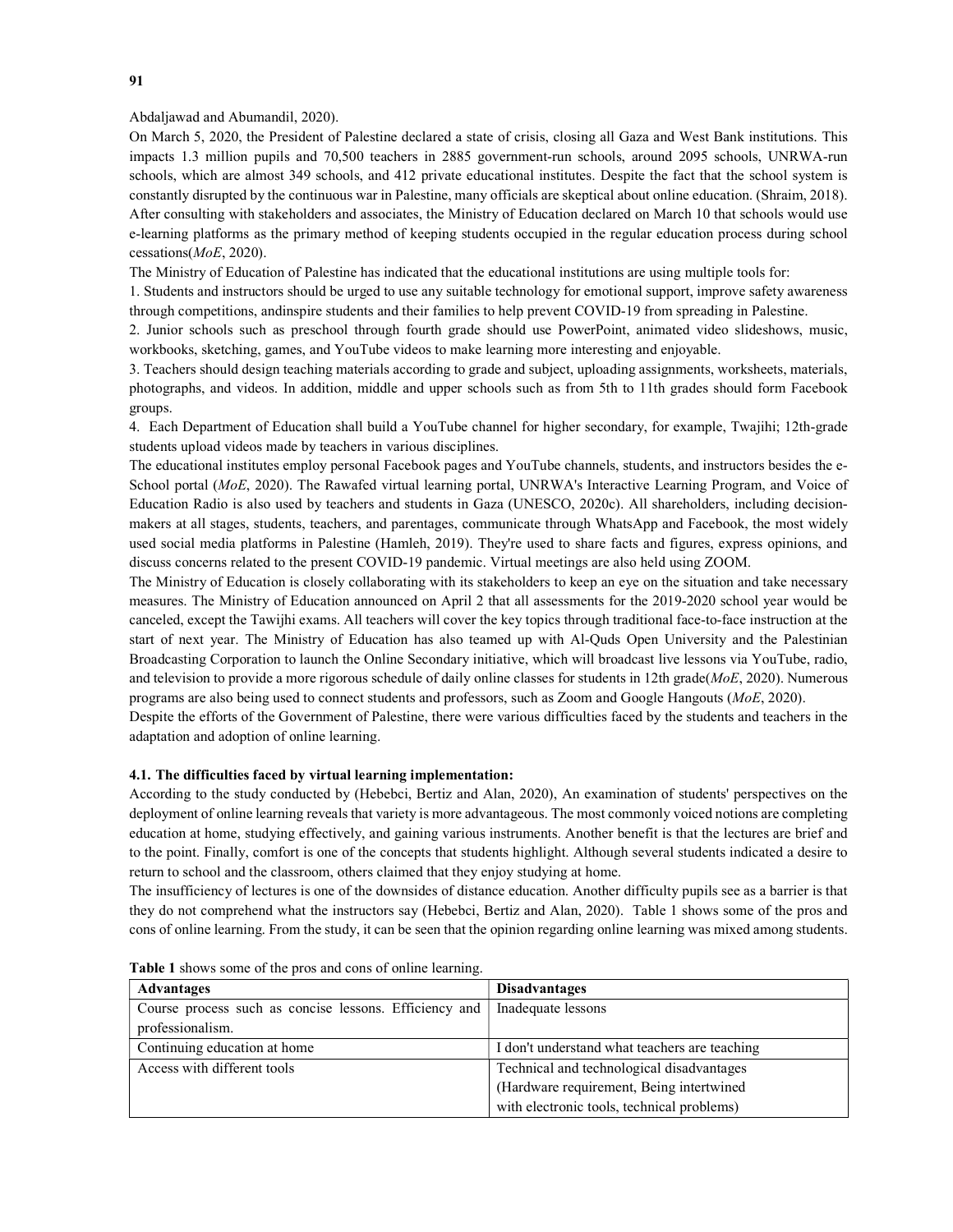### Abdaljawad and Abumandil, 2020).

On March 5, 2020, the President of Palestine declared a state of crisis, closing all Gaza and West Bank institutions. This impacts 1.3 million pupils and 70,500 teachers in 2885 government-run schools, around 2095 schools, UNRWA-run schools, which are almost 349 schools, and 412 private educational institutes. Despite the fact that the school system is constantly disrupted by the continuous war in Palestine, many officials are skeptical about online education. (Shraim, 2018). After consulting with stakeholders and associates, the Ministry of Education declared on March 10 that schools would use e-learning platforms as the primary method of keeping students occupied in the regular education process during school cessations( $MoE$ , 2020).

The Ministry of Education of Palestine has indicated that the educational institutions are using multiple tools for:

1. Students and instructors should be urged to use any suitable technology for emotional support, improve safety awareness through competitions, andinspire students and their families to help prevent COVID-19 from spreading in Palestine.

2. Junior schools such as preschool through fourth grade should use PowerPoint, animated video slideshows, music, workbooks, sketching, games, and YouTube videos to make learning more interesting and enjoyable.

3. Teachers should design teaching materials according to grade and subject, uploading assignments, worksheets, materials, photographs, and videos. In addition, middle and upper schools such as from 5th to 11th grades should form Facebook groups.

4. Each Department of Education shall build a YouTube channel for higher secondary, for example, Twajihi; 12th-grade students upload videos made by teachers in various disciplines.

The educational institutes employ personal Facebook pages and YouTube channels, students, and instructors besides the e-School portal (MoE, 2020). The Rawafed virtual learning portal, UNRWA's Interactive Learning Program, and Voice of Education Radio is also used by teachers and students in Gaza (UNESCO, 2020c). All shareholders, including decisionmakers at all stages, students, teachers, and parentages, communicate through WhatsApp and Facebook, the most widely used social media platforms in Palestine (Hamleh, 2019). They're used to share facts and figures, express opinions, and discuss concerns related to the present COVID-19 pandemic. Virtual meetings are also held using ZOOM.

The Ministry of Education is closely collaborating with its stakeholders to keep an eye on the situation and take necessary measures. The Ministry of Education announced on April 2 that all assessments for the 2019-2020 school year would be canceled, except the Tawijhi exams. All teachers will cover the key topics through traditional face-to-face instruction at the start of next year. The Ministry of Education has also teamed up with Al-Quds Open University and the Palestinian Broadcasting Corporation to launch the Online Secondary initiative, which will broadcast live lessons via YouTube, radio, and television to provide a more rigorous schedule of daily online classes for students in 12th grade( $MoE$ , 2020). Numerous programs are also being used to connect students and professors, such as Zoom and Google Hangouts (MoE, 2020).

Despite the efforts of the Government of Palestine, there were various difficulties faced by the students and teachers in the adaptation and adoption of online learning.

#### 4.1. The difficulties faced by virtual learning implementation:

According to the study conducted by (Hebebci, Bertiz and Alan, 2020), An examination of students' perspectives on the deployment of online learning reveals that variety is more advantageous. The most commonly voiced notions are completing education at home, studying effectively, and gaining various instruments. Another benefit is that the lectures are brief and to the point. Finally, comfort is one of the concepts that students highlight. Although several students indicated a desire to return to school and the classroom, others claimed that they enjoy studying at home.

The insufficiency of lectures is one of the downsides of distance education. Another difficulty pupils see as a barrier is that they do not comprehend what the instructors say (Hebebci, Bertiz and Alan, 2020). Table 1 shows some of the pros and cons of online learning. From the study, it can be seen that the opinion regarding online learning was mixed among students.

| <b>Advantages</b>                                                           | <b>Disadvantages</b>                          |
|-----------------------------------------------------------------------------|-----------------------------------------------|
| Course process such as concise lessons. Efficiency and   Inadequate lessons |                                               |
| professionalism.                                                            |                                               |
| Continuing education at home                                                | I don't understand what teachers are teaching |
| Access with different tools                                                 | Technical and technological disadvantages     |
|                                                                             | (Hardware requirement, Being intertwined      |
|                                                                             | with electronic tools, technical problems)    |

Table 1 shows some of the pros and cons of online learning.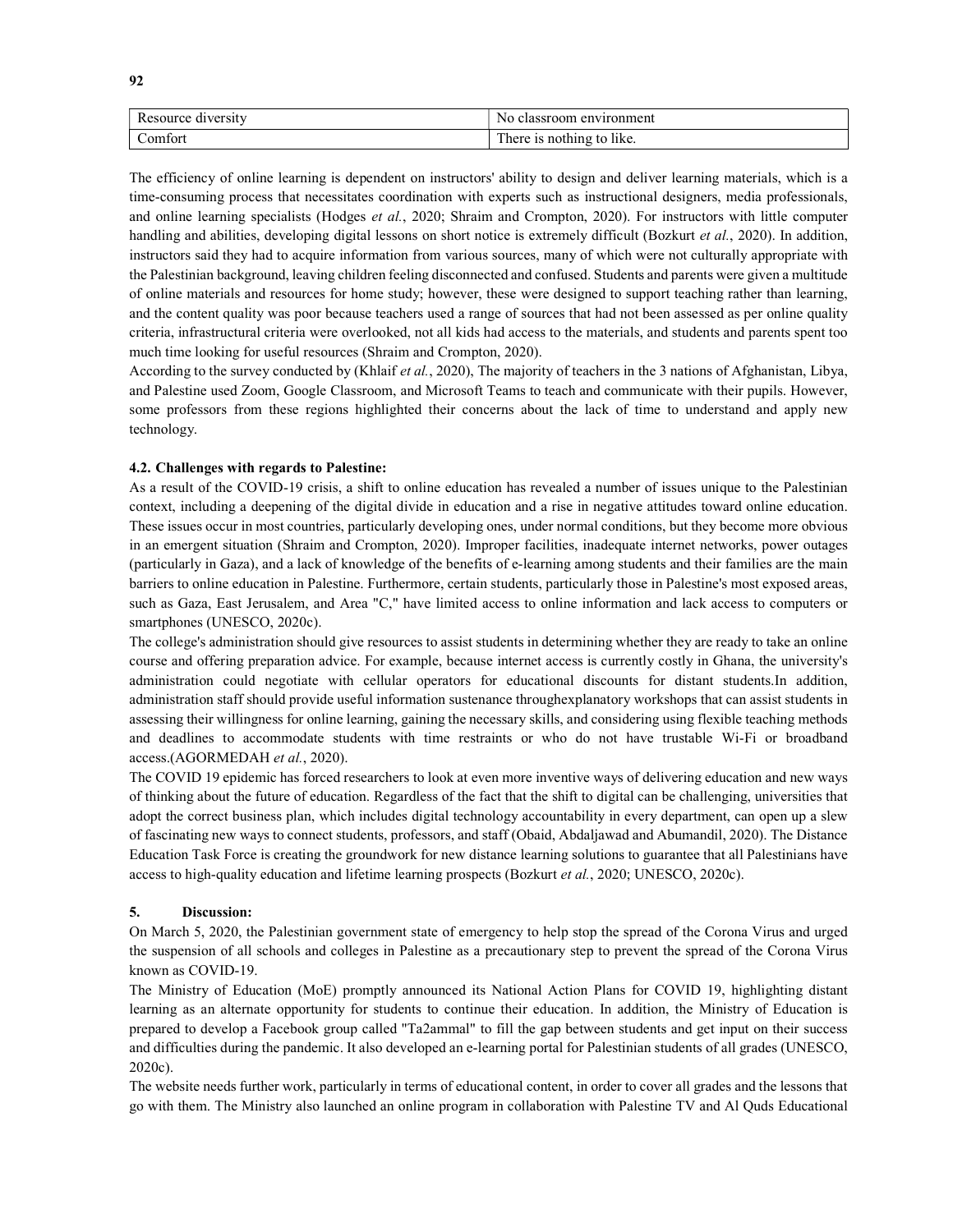| Resource diversity | No classroom environment   |
|--------------------|----------------------------|
| Comfort            | I here is nothing to like. |

The efficiency of online learning is dependent on instructors' ability to design and deliver learning materials, which is a time-consuming process that necessitates coordination with experts such as instructional designers, media professionals, and online learning specialists (Hodges et al., 2020; Shraim and Crompton, 2020). For instructors with little computer handling and abilities, developing digital lessons on short notice is extremely difficult (Bozkurt et al., 2020). In addition, instructors said they had to acquire information from various sources, many of which were not culturally appropriate with the Palestinian background, leaving children feeling disconnected and confused. Students and parents were given a multitude of online materials and resources for home study; however, these were designed to support teaching rather than learning, and the content quality was poor because teachers used a range of sources that had not been assessed as per online quality criteria, infrastructural criteria were overlooked, not all kids had access to the materials, and students and parents spent too much time looking for useful resources (Shraim and Crompton, 2020).

According to the survey conducted by (Khlaif et al., 2020), The majority of teachers in the 3 nations of Afghanistan, Libya, and Palestine used Zoom, Google Classroom, and Microsoft Teams to teach and communicate with their pupils. However, some professors from these regions highlighted their concerns about the lack of time to understand and apply new technology.

# 4.2. Challenges with regards to Palestine:

As a result of the COVID-19 crisis, a shift to online education has revealed a number of issues unique to the Palestinian context, including a deepening of the digital divide in education and a rise in negative attitudes toward online education. These issues occur in most countries, particularly developing ones, under normal conditions, but they become more obvious in an emergent situation (Shraim and Crompton, 2020). Improper facilities, inadequate internet networks, power outages (particularly in Gaza), and a lack of knowledge of the benefits of e-learning among students and their families are the main barriers to online education in Palestine. Furthermore, certain students, particularly those in Palestine's most exposed areas, such as Gaza, East Jerusalem, and Area "C," have limited access to online information and lack access to computers or smartphones (UNESCO, 2020c).

The college's administration should give resources to assist students in determining whether they are ready to take an online course and offering preparation advice. For example, because internet access is currently costly in Ghana, the university's administration could negotiate with cellular operators for educational discounts for distant students.In addition, administration staff should provide useful information sustenance throughexplanatory workshops that can assist students in assessing their willingness for online learning, gaining the necessary skills, and considering using flexible teaching methods and deadlines to accommodate students with time restraints or who do not have trustable Wi-Fi or broadband access.(AGORMEDAH et al., 2020).

The COVID 19 epidemic has forced researchers to look at even more inventive ways of delivering education and new ways of thinking about the future of education. Regardless of the fact that the shift to digital can be challenging, universities that adopt the correct business plan, which includes digital technology accountability in every department, can open up a slew of fascinating new ways to connect students, professors, and staff (Obaid, Abdaljawad and Abumandil, 2020). The Distance Education Task Force is creating the groundwork for new distance learning solutions to guarantee that all Palestinians have access to high-quality education and lifetime learning prospects (Bozkurt et al., 2020; UNESCO, 2020c).

# 5. Discussion:

On March 5, 2020, the Palestinian government state of emergency to help stop the spread of the Corona Virus and urged the suspension of all schools and colleges in Palestine as a precautionary step to prevent the spread of the Corona Virus known as COVID-19.

The Ministry of Education (MoE) promptly announced its National Action Plans for COVID 19, highlighting distant learning as an alternate opportunity for students to continue their education. In addition, the Ministry of Education is prepared to develop a Facebook group called "Ta2ammal" to fill the gap between students and get input on their success and difficulties during the pandemic. It also developed an e-learning portal for Palestinian students of all grades (UNESCO, 2020c).

The website needs further work, particularly in terms of educational content, in order to cover all grades and the lessons that go with them. The Ministry also launched an online program in collaboration with Palestine TV and Al Quds Educational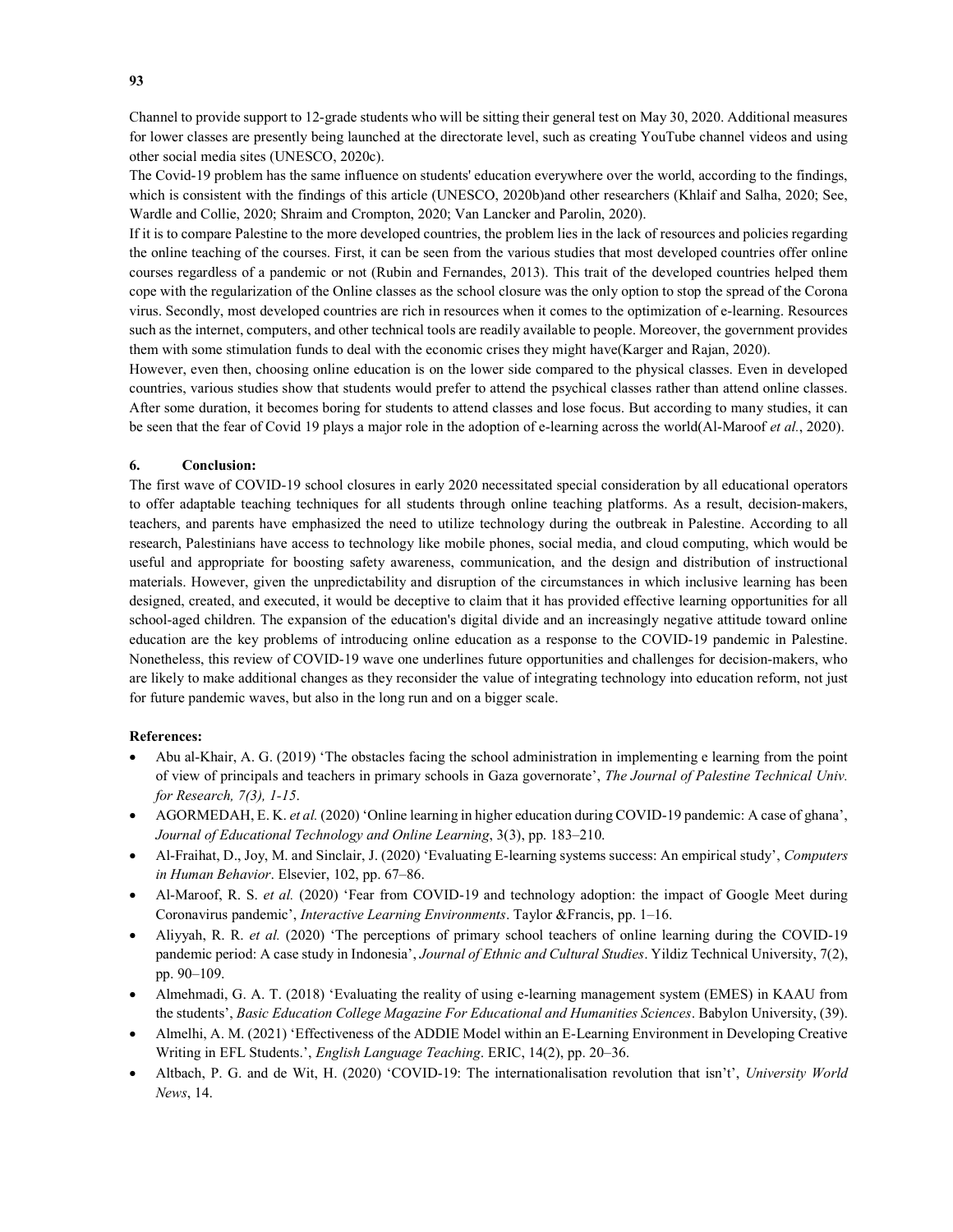Channel to provide support to 12-grade students who will be sitting their general test on May 30, 2020. Additional measures for lower classes are presently being launched at the directorate level, such as creating YouTube channel videos and using other social media sites (UNESCO, 2020c).

The Covid-19 problem has the same influence on students' education everywhere over the world, according to the findings, which is consistent with the findings of this article (UNESCO, 2020b)and other researchers (Khlaif and Salha, 2020; See, Wardle and Collie, 2020; Shraim and Crompton, 2020; Van Lancker and Parolin, 2020).

If it is to compare Palestine to the more developed countries, the problem lies in the lack of resources and policies regarding the online teaching of the courses. First, it can be seen from the various studies that most developed countries offer online courses regardless of a pandemic or not (Rubin and Fernandes, 2013). This trait of the developed countries helped them cope with the regularization of the Online classes as the school closure was the only option to stop the spread of the Corona virus. Secondly, most developed countries are rich in resources when it comes to the optimization of e-learning. Resources such as the internet, computers, and other technical tools are readily available to people. Moreover, the government provides them with some stimulation funds to deal with the economic crises they might have(Karger and Rajan, 2020).

However, even then, choosing online education is on the lower side compared to the physical classes. Even in developed countries, various studies show that students would prefer to attend the psychical classes rather than attend online classes. After some duration, it becomes boring for students to attend classes and lose focus. But according to many studies, it can be seen that the fear of Covid 19 plays a major role in the adoption of e-learning across the world(Al-Maroof et al., 2020).

### 6. Conclusion:

The first wave of COVID-19 school closures in early 2020 necessitated special consideration by all educational operators to offer adaptable teaching techniques for all students through online teaching platforms. As a result, decision-makers, teachers, and parents have emphasized the need to utilize technology during the outbreak in Palestine. According to all research, Palestinians have access to technology like mobile phones, social media, and cloud computing, which would be useful and appropriate for boosting safety awareness, communication, and the design and distribution of instructional materials. However, given the unpredictability and disruption of the circumstances in which inclusive learning has been designed, created, and executed, it would be deceptive to claim that it has provided effective learning opportunities for all school-aged children. The expansion of the education's digital divide and an increasingly negative attitude toward online education are the key problems of introducing online education as a response to the COVID-19 pandemic in Palestine. Nonetheless, this review of COVID-19 wave one underlines future opportunities and challenges for decision-makers, who are likely to make additional changes as they reconsider the value of integrating technology into education reform, not just for future pandemic waves, but also in the long run and on a bigger scale.

# References:

- Abu al-Khair, A. G. (2019) 'The obstacles facing the school administration in implementing e learning from the point of view of principals and teachers in primary schools in Gaza governorate', The Journal of Palestine Technical Univ. for Research, 7(3), 1-15.
- AGORMEDAH, E. K. et al. (2020) 'Online learning in higher education during COVID-19 pandemic: A case of ghana', Journal of Educational Technology and Online Learning, 3(3), pp. 183–210.
- Al-Fraihat, D., Joy, M. and Sinclair, J. (2020) 'Evaluating E-learning systems success: An empirical study', Computers in Human Behavior. Elsevier, 102, pp. 67–86.
- Al-Maroof, R. S. et al. (2020) 'Fear from COVID-19 and technology adoption: the impact of Google Meet during Coronavirus pandemic', Interactive Learning Environments. Taylor &Francis, pp. 1–16.
- Aliyyah, R. R. et al. (2020) 'The perceptions of primary school teachers of online learning during the COVID-19 pandemic period: A case study in Indonesia', Journal of Ethnic and Cultural Studies. Yildiz Technical University, 7(2), pp. 90–109.
- Almehmadi, G. A. T. (2018) 'Evaluating the reality of using e-learning management system (EMES) in KAAU from the students', Basic Education College Magazine For Educational and Humanities Sciences. Babylon University, (39).
- Almelhi, A. M. (2021) 'Effectiveness of the ADDIE Model within an E-Learning Environment in Developing Creative Writing in EFL Students.', English Language Teaching. ERIC, 14(2), pp. 20–36.
- Altbach, P. G. and de Wit, H. (2020) 'COVID-19: The internationalisation revolution that isn't', University World News, 14.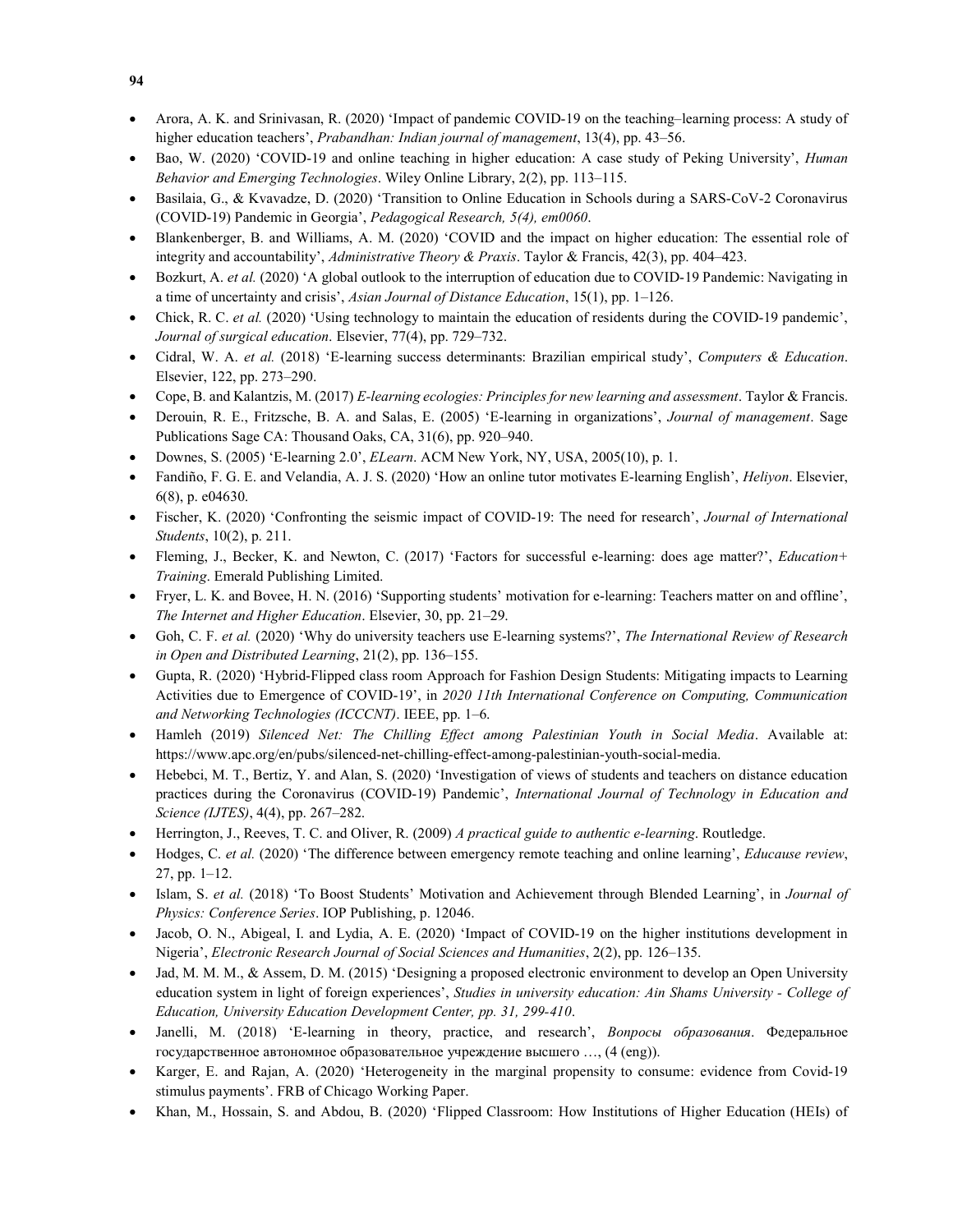- Arora, A. K. and Srinivasan, R. (2020) 'Impact of pandemic COVID-19 on the teaching–learning process: A study of higher education teachers', *Prabandhan: Indian journal of management*, 13(4), pp. 43–56.
- Bao, W. (2020) 'COVID-19 and online teaching in higher education: A case study of Peking University', *Human* Behavior and Emerging Technologies. Wiley Online Library, 2(2), pp. 113–115.
- Basilaia, G., & Kvavadze, D. (2020) 'Transition to Online Education in Schools during a SARS-CoV-2 Coronavirus (COVID-19) Pandemic in Georgia', Pedagogical Research, 5(4), em0060.
- Blankenberger, B. and Williams, A. M. (2020) 'COVID and the impact on higher education: The essential role of integrity and accountability', Administrative Theory & Praxis. Taylor & Francis, 42(3), pp. 404–423.
- Bozkurt, A. et al. (2020) 'A global outlook to the interruption of education due to COVID-19 Pandemic: Navigating in a time of uncertainty and crisis', Asian Journal of Distance Education, 15(1), pp. 1–126.
- Chick, R. C. et al. (2020) 'Using technology to maintain the education of residents during the COVID-19 pandemic', Journal of surgical education. Elsevier, 77(4), pp. 729–732.
- Cidral, W. A. et al. (2018) 'E-learning success determinants: Brazilian empirical study', Computers & Education. Elsevier, 122, pp. 273–290.
- Cope, B. and Kalantzis, M. (2017) E-learning ecologies: Principles for new learning and assessment. Taylor & Francis.
- Derouin, R. E., Fritzsche, B. A. and Salas, E. (2005) 'E-learning in organizations', Journal of management. Sage Publications Sage CA: Thousand Oaks, CA, 31(6), pp. 920–940.
- Downes, S. (2005) 'E-learning 2.0', ELearn. ACM New York, NY, USA, 2005(10), p. 1.
- Fandiño, F. G. E. and Velandia, A. J. S. (2020) 'How an online tutor motivates E-learning English', Heliyon. Elsevier, 6(8), p. e04630.
- Fischer, K. (2020) 'Confronting the seismic impact of COVID-19: The need for research', Journal of International Students, 10(2), p. 211.
- Fleming, J., Becker, K. and Newton, C. (2017) 'Factors for successful e-learning: does age matter?', Education+ Training. Emerald Publishing Limited.
- Fryer, L. K. and Bovee, H. N. (2016) 'Supporting students' motivation for e-learning: Teachers matter on and offline', The Internet and Higher Education. Elsevier, 30, pp. 21–29.
- Goh, C. F. et al. (2020) 'Why do university teachers use E-learning systems?', The International Review of Research in Open and Distributed Learning, 21(2), pp. 136–155.
- Gupta, R. (2020) 'Hybrid-Flipped class room Approach for Fashion Design Students: Mitigating impacts to Learning Activities due to Emergence of COVID-19', in 2020 11th International Conference on Computing, Communication and Networking Technologies (ICCCNT). IEEE, pp. 1–6.
- Hamleh (2019) Silenced Net: The Chilling Effect among Palestinian Youth in Social Media. Available at: https://www.apc.org/en/pubs/silenced-net-chilling-effect-among-palestinian-youth-social-media.
- Hebebci, M. T., Bertiz, Y. and Alan, S. (2020) 'Investigation of views of students and teachers on distance education practices during the Coronavirus (COVID-19) Pandemic', International Journal of Technology in Education and Science (IJTES), 4(4), pp. 267–282.
- Herrington, J., Reeves, T. C. and Oliver, R. (2009) A practical guide to authentic e-learning. Routledge.
- Hodges, C. et al. (2020) 'The difference between emergency remote teaching and online learning', Educause review, 27, pp. 1–12.
- Islam, S. et al. (2018) 'To Boost Students' Motivation and Achievement through Blended Learning', in Journal of Physics: Conference Series. IOP Publishing, p. 12046.
- Jacob, O. N., Abigeal, I. and Lydia, A. E. (2020) 'Impact of COVID-19 on the higher institutions development in Nigeria', Electronic Research Journal of Social Sciences and Humanities, 2(2), pp. 126–135.
- Jad, M. M. M., & Assem, D. M. (2015) 'Designing a proposed electronic environment to develop an Open University education system in light of foreign experiences', Studies in university education: Ain Shams University - College of Education, University Education Development Center, pp. 31, 299-410.
- Janelli, M. (2018) 'E-learning in theory, practice, and research', Вопросы образования. Федеральное государственное автономное образовательное учреждение высшего …, (4 (eng)).
- Karger, E. and Rajan, A. (2020) 'Heterogeneity in the marginal propensity to consume: evidence from Covid-19 stimulus payments'. FRB of Chicago Working Paper.
- Khan, M., Hossain, S. and Abdou, B. (2020) 'Flipped Classroom: How Institutions of Higher Education (HEIs) of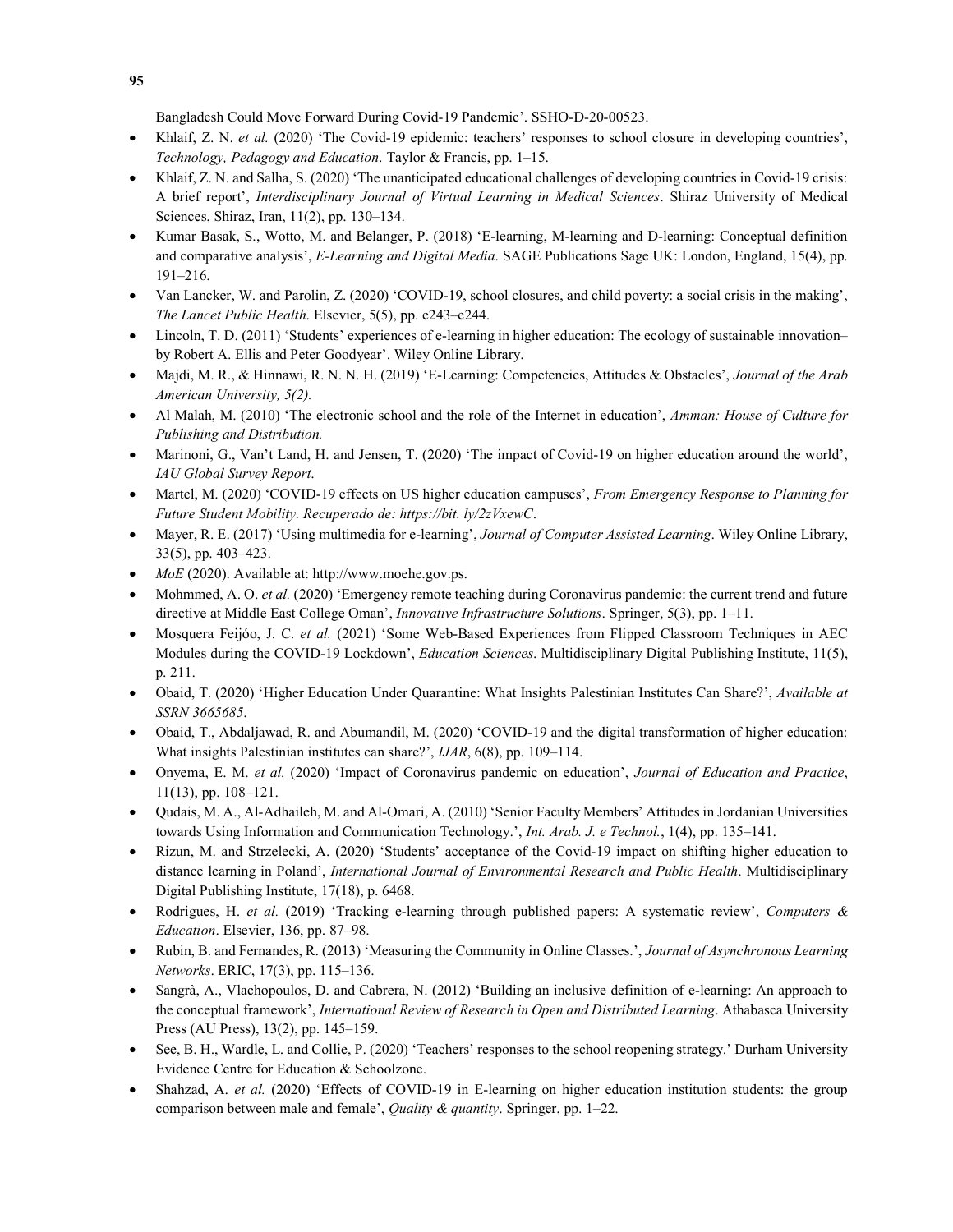Bangladesh Could Move Forward During Covid-19 Pandemic'. SSHO-D-20-00523.

- Khlaif, Z. N. et al. (2020) 'The Covid-19 epidemic: teachers' responses to school closure in developing countries', Technology, Pedagogy and Education. Taylor & Francis, pp. 1–15.
- Khlaif, Z. N. and Salha, S. (2020) 'The unanticipated educational challenges of developing countries in Covid-19 crisis: A brief report', Interdisciplinary Journal of Virtual Learning in Medical Sciences. Shiraz University of Medical Sciences, Shiraz, Iran, 11(2), pp. 130–134.
- Kumar Basak, S., Wotto, M. and Belanger, P. (2018) 'E-learning, M-learning and D-learning: Conceptual definition and comparative analysis', E-Learning and Digital Media. SAGE Publications Sage UK: London, England, 15(4), pp. 191–216.
- Van Lancker, W. and Parolin, Z. (2020) 'COVID-19, school closures, and child poverty: a social crisis in the making', The Lancet Public Health. Elsevier, 5(5), pp. e243–e244.
- Lincoln, T. D. (2011) 'Students' experiences of e-learning in higher education: The ecology of sustainable innovation– by Robert A. Ellis and Peter Goodyear'. Wiley Online Library.
- Majdi, M. R., & Hinnawi, R. N. N. H. (2019) 'E-Learning: Competencies, Attitudes & Obstacles', Journal of the Arab American University, 5(2).
- Al Malah, M. (2010) 'The electronic school and the role of the Internet in education', Amman: House of Culture for Publishing and Distribution.
- Marinoni, G., Van't Land, H. and Jensen, T. (2020) 'The impact of Covid-19 on higher education around the world', IAU Global Survey Report.
- Martel, M. (2020) 'COVID-19 effects on US higher education campuses', From Emergency Response to Planning for Future Student Mobility. Recuperado de: https://bit. ly/2zVxewC.
- Mayer, R. E. (2017) 'Using multimedia for e-learning', *Journal of Computer Assisted Learning*. Wiley Online Library, 33(5), pp. 403–423.
- MoE (2020). Available at: http://www.moehe.gov.ps.
- Mohmmed, A. O. et al. (2020) 'Emergency remote teaching during Coronavirus pandemic: the current trend and future directive at Middle East College Oman', Innovative Infrastructure Solutions. Springer, 5(3), pp. 1-11.
- Mosquera Feijóo, J. C. et al. (2021) 'Some Web-Based Experiences from Flipped Classroom Techniques in AEC Modules during the COVID-19 Lockdown', *Education Sciences*. Multidisciplinary Digital Publishing Institute, 11(5), p. 211.
- Obaid, T. (2020) 'Higher Education Under Quarantine: What Insights Palestinian Institutes Can Share?', Available at SSRN 3665685.
- Obaid, T., Abdaljawad, R. and Abumandil, M. (2020) 'COVID-19 and the digital transformation of higher education: What insights Palestinian institutes can share?', *IJAR*, 6(8), pp. 109-114.
- Onyema, E. M. et al. (2020) 'Impact of Coronavirus pandemic on education', Journal of Education and Practice, 11(13), pp. 108–121.
- Qudais, M. A., Al-Adhaileh, M. and Al-Omari, A. (2010) 'Senior Faculty Members' Attitudes in Jordanian Universities towards Using Information and Communication Technology.', Int. Arab. J. e Technol., 1(4), pp. 135–141.
- Rizun, M. and Strzelecki, A. (2020) 'Students' acceptance of the Covid-19 impact on shifting higher education to distance learning in Poland', *International Journal of Environmental Research and Public Health*. Multidisciplinary Digital Publishing Institute, 17(18), p. 6468.
- Rodrigues, H. et al. (2019) 'Tracking e-learning through published papers: A systematic review', Computers & Education. Elsevier, 136, pp. 87–98.
- Rubin, B. and Fernandes, R. (2013) 'Measuring the Community in Online Classes.', Journal of Asynchronous Learning Networks. ERIC, 17(3), pp. 115–136.
- Sangrà, A., Vlachopoulos, D. and Cabrera, N. (2012) 'Building an inclusive definition of e-learning: An approach to the conceptual framework', International Review of Research in Open and Distributed Learning. Athabasca University Press (AU Press), 13(2), pp. 145–159.
- See, B. H., Wardle, L. and Collie, P. (2020) 'Teachers' responses to the school reopening strategy.' Durham University Evidence Centre for Education & Schoolzone.
- Shahzad, A. et al. (2020) 'Effects of COVID-19 in E-learning on higher education institution students: the group comparison between male and female', *Quality & quantity*. Springer, pp.  $1-22$ .